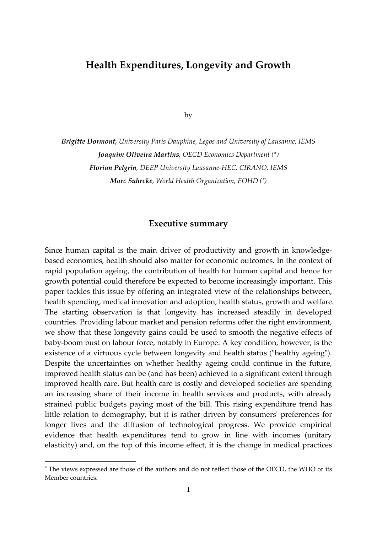## **Health Expenditures, Longevity and Growth**

by

*Brigitte Dormont, University Paris Dauphine, Legos and University of Lausanne, IEMS Joaquim Oliveira Martins, OECD Economics Department (\*) Florian Pelgrin, DEEP University Lausanne‐HEC, CIRANO, IEMS Marc Suhrcke, World Health Organization, EOHD (* ∗ *)* 

## **Executive summary**

Since human capital is the main driver of productivity and growth in knowledge‐ based economies, health should also matter for economic outcomes. In the context of rapid population ageing, the contribution of health for human capital and hence for growth potential could therefore be expected to become increasingly important. This paper tackles this issue by offering an integrated view of the relationships between, health spending, medical innovation and adoption, health status, growth and welfare. The starting observation is that longevity has increased steadily in developed countries. Providing labour market and pension reforms offer the right environment, we show that these longevity gains could be used to smooth the negative effects of baby‐boom bust on labour force, notably in Europe. A key condition, however, is the existence of a virtuous cycle between longevity and health status ("healthy ageing"). Despite the uncertainties on whether healthy ageing could continue in the future, improved health status can be (and has been) achieved to a significant extent through improved health care. But health care is costly and developed societies are spending an increasing share of their income in health services and products, with already strained public budgets paying most of the bill. This rising expenditure trend has little relation to demography, but it is rather driven by consumersʹ preferences for longer lives and the diffusion of technological progress. We provide empirical evidence that health expenditures tend to grow in line with incomes (unitary elasticity) and, on the top of this income effect, it is the change in medical practices

-

<sup>∗</sup> The views expressed are those of the authors and do not reflect those of the OECD, the WHO or its Member countries.